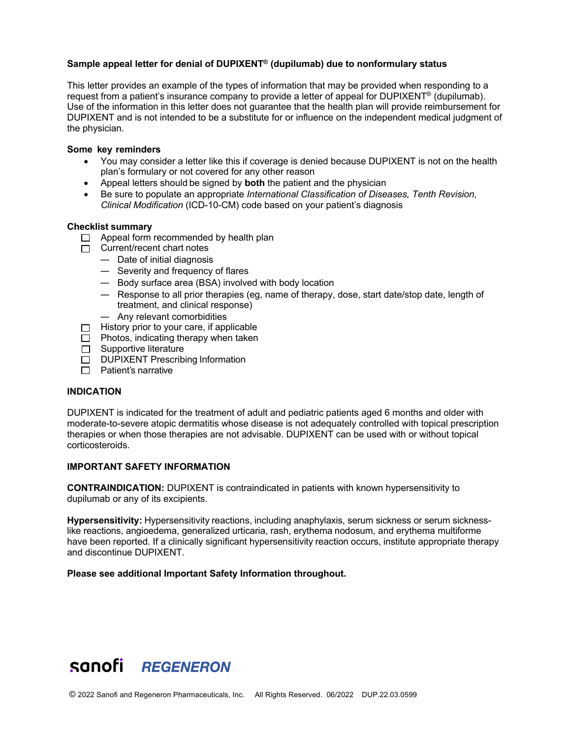# **Sample appeal letter for denial of DUPIXENT® (dupilumab) due to nonformulary status**

This letter provides an example of the types of information that may be provided when responding to a request from a patient's insurance company to provide a letter of appeal for DUPIXENT® (dupilumab). Use of the information in this letter does not guarantee that the health plan will provide reimbursement for DUPIXENT and is not intended to be a substitute for or influence on the independent medical judgment of the physician.

#### **Some key reminders**

- You may consider a letter like this if coverage is denied because DUPIXENT is not on the health plan's formulary or not covered for any other reason
- Appeal letters should be signed by **both** the patient and the physician
- Be sure to populate an appropriate *International Classification of Diseases, Tenth Revision, Clinical Modification* (ICD-10-CM) code based on your patient's diagnosis

#### **Checklist summary**

- $\Box$  Appeal form recommended by health plan
- $\Box$  Current/recent chart notes
	- Date of initial diagnosis
	- Severity and frequency of flares
	- Body surface area (BSA) involved with body location
	- Response to all prior therapies (eg, name of therapy, dose, start date/stop date, length of treatment, and clinical response)
	- Any relevant comorbidities
- $\Box$  History prior to your care, if applicable
- $\Box$  Photos, indicating therapy when taken
- Supportive literature
- DUPIXENT Prescribing Information
- $\Box$  Patient's narrative

# **INDICATION**

DUPIXENT is indicated for the treatment of adult and pediatric patients aged 6 months and older with moderate-to-severe atopic dermatitis whose disease is not adequately controlled with topical prescription therapies or when those therapies are not advisable. DUPIXENT can be used with or without topical corticosteroids.

# **IMPORTANT SAFETY INFORMATION**

**CONTRAINDICATION:** DUPIXENT is contraindicated in patients with known hypersensitivity to dupilumab or any of its excipients.

**Hypersensitivity:** Hypersensitivity reactions, including anaphylaxis, serum sickness or serum sicknesslike reactions, angioedema, generalized urticaria, rash, erythema nodosum, and erythema multiforme have been reported. If a clinically significant hypersensitivity reaction occurs, institute appropriate therapy and discontinue DUPIXENT.

#### **Please see additional Important Safety Information throughout.**

# sanofi REGENERON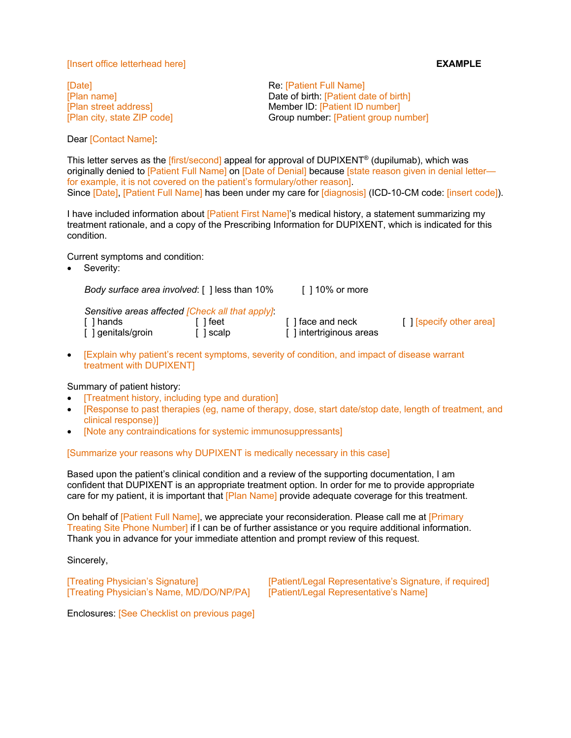#### [Insert office letterhead here] **EXAMPLE**

[Date] **Re:** [Patient Full Name]

[Plan name] Date of birth: [Patient date of birth] [Plan street address] Member ID: [Patient ID number] [Plan city, state ZIP code] Group number: [Patient group number]

Dear [Contact Name]:

This letter serves as the [first/second] appeal for approval of DUPIXENT® (dupilumab), which was originally denied to [Patient Full Name] on [Date of Denial] because [state reason given in denial letter for example, it is not covered on the patient's formulary/other reason]. Since [Date], [Patient Full Name] has been under my care for [diagnosis] (ICD-10-CM code: [insert code]).

I have included information about [Patient First Name]'s medical history, a statement summarizing my treatment rationale, and a copy of the Prescribing Information for DUPIXENT, which is indicated for this condition.

Current symptoms and condition:

Severity:

*Body surface area involved*: [ ] less than 10% [ ] 10% or more *Sensitive areas affected [Check all that apply]*: [ ] hands [ ] feet [ ] face and neck [ ] [specify other area]  $\begin{bmatrix} 1 \end{bmatrix}$  genitals/groin  $\begin{bmatrix} 1 \end{bmatrix}$  scalp  $\begin{bmatrix} 1 \end{bmatrix}$  intertriginous areas • [Explain why patient's recent symptoms, severity of condition, and impact of disease warrant

treatment with DUPIXENT]

# Summary of patient history:

- [Treatment history, including type and duration]
- [Response to past therapies (eg, name of therapy, dose, start date/stop date, length of treatment, and clinical response)]
- [Note any contraindications for systemic immunosuppressants]

# [Summarize your reasons why DUPIXENT is medically necessary in this case]

Based upon the patient's clinical condition and a review of the supporting documentation, I am confident that DUPIXENT is an appropriate treatment option. In order for me to provide appropriate care for my patient, it is important that [Plan Name] provide adequate coverage for this treatment.

On behalf of [Patient Full Name], we appreciate your reconsideration. Please call me at [Primary Treating Site Phone Number] if I can be of further assistance or you require additional information. Thank you in advance for your immediate attention and prompt review of this request.

Sincerely,

[Treating Physician's Name, MD/DO/NP/PA] [Patient/Legal Representative's Name]

[Treating Physician's Signature] [Patient/Legal Representative's Signature, if required]

Enclosures: [See Checklist on previous page]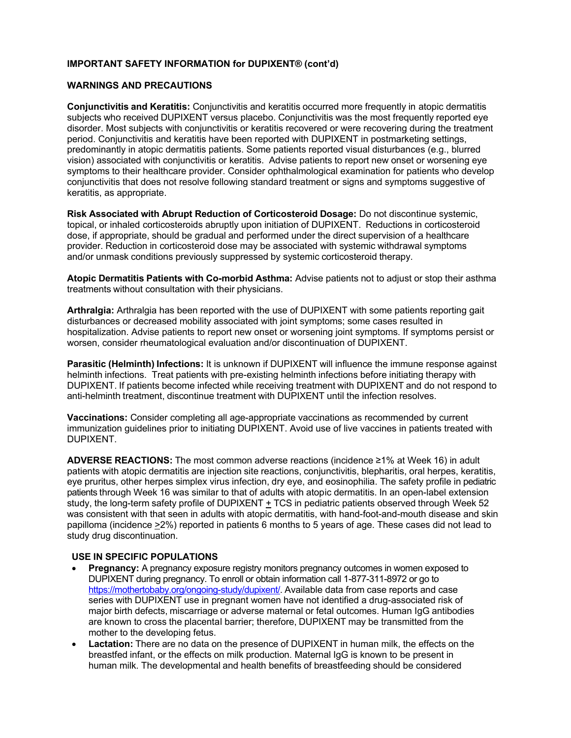# **IMPORTANT SAFETY INFORMATION for DUPIXENT® (cont'd)**

# **WARNINGS AND PRECAUTIONS**

**Conjunctivitis and Keratitis:** Conjunctivitis and keratitis occurred more frequently in atopic dermatitis subjects who received DUPIXENT versus placebo. Conjunctivitis was the most frequently reported eye disorder. Most subjects with conjunctivitis or keratitis recovered or were recovering during the treatment period. Conjunctivitis and keratitis have been reported with DUPIXENT in postmarketing settings, predominantly in atopic dermatitis patients. Some patients reported visual disturbances (e.g., blurred vision) associated with conjunctivitis or keratitis. Advise patients to report new onset or worsening eye symptoms to their healthcare provider. Consider ophthalmological examination for patients who develop conjunctivitis that does not resolve following standard treatment or signs and symptoms suggestive of keratitis, as appropriate.

**Risk Associated with Abrupt Reduction of Corticosteroid Dosage:** Do not discontinue systemic, topical, or inhaled corticosteroids abruptly upon initiation of DUPIXENT. Reductions in corticosteroid dose, if appropriate, should be gradual and performed under the direct supervision of a healthcare provider. Reduction in corticosteroid dose may be associated with systemic withdrawal symptoms and/or unmask conditions previously suppressed by systemic corticosteroid therapy.

**Atopic Dermatitis Patients with Co-morbid Asthma:** Advise patients not to adjust or stop their asthma treatments without consultation with their physicians.

**Arthralgia:** Arthralgia has been reported with the use of DUPIXENT with some patients reporting gait disturbances or decreased mobility associated with joint symptoms; some cases resulted in hospitalization. Advise patients to report new onset or worsening joint symptoms. If symptoms persist or worsen, consider rheumatological evaluation and/or discontinuation of DUPIXENT.

**Parasitic (Helminth) Infections:** It is unknown if DUPIXENT will influence the immune response against helminth infections. Treat patients with pre-existing helminth infections before initiating therapy with DUPIXENT. If patients become infected while receiving treatment with DUPIXENT and do not respond to anti-helminth treatment, discontinue treatment with DUPIXENT until the infection resolves.

**Vaccinations:** Consider completing all age-appropriate vaccinations as recommended by current immunization guidelines prior to initiating DUPIXENT. Avoid use of live vaccines in patients treated with DUPIXENT.

**ADVERSE REACTIONS:** The most common adverse reactions (incidence ≥1% at Week 16) in adult patients with atopic dermatitis are injection site reactions, conjunctivitis, blepharitis, oral herpes, keratitis, eye pruritus, other herpes simplex virus infection, dry eye, and eosinophilia. The safety profile in pediatric patients through Week 16 was similar to that of adults with atopic dermatitis. In an open-label extension study, the long-term safety profile of DUPIXENT + TCS in pediatric patients observed through Week 52 was consistent with that seen in adults with atopic dermatitis, with hand-foot-and-mouth disease and skin papilloma (incidence >2%) reported in patients 6 months to 5 years of age. These cases did not lead to study drug discontinuation.

# **USE IN SPECIFIC POPULATIONS**

- **Pregnancy:** A pregnancy exposure registry monitors pregnancy outcomes in women exposed to DUPIXENT during pregnancy. To enroll or obtain information call 1-877-311-8972 or go to https://mothertobaby.org/ongoing-study/dupixent/. Available data from case reports and case series with DUPIXENT use in pregnant women have not identified a drug-associated risk of major birth defects, miscarriage or adverse maternal or fetal outcomes. Human IgG antibodies are known to cross the placental barrier; therefore, DUPIXENT may be transmitted from the mother to the developing fetus.
- **Lactation:** There are no data on the presence of DUPIXENT in human milk, the effects on the breastfed infant, or the effects on milk production. Maternal IgG is known to be present in human milk. The developmental and health benefits of breastfeeding should be considered